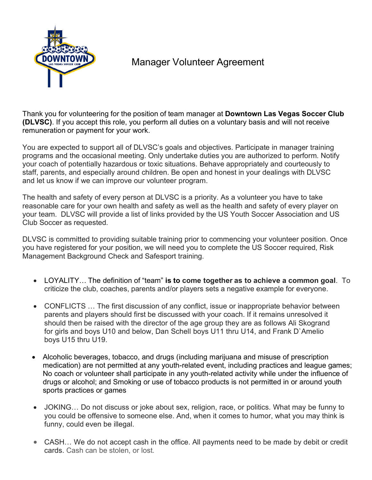

## Manager Volunteer Agreement

Thank you for volunteering for the position of team manager at **Downtown Las Vegas Soccer Club (DLVSC)**. If you accept this role, you perform all duties on a voluntary basis and will not receive remuneration or payment for your work.

You are expected to support all of DLVSC's goals and objectives. Participate in manager training programs and the occasional meeting. Only undertake duties you are authorized to perform. Notify your coach of potentially hazardous or toxic situations. Behave appropriately and courteously to staff, parents, and especially around children. Be open and honest in your dealings with DLVSC and let us know if we can improve our volunteer program.

The health and safety of every person at DLVSC is a priority. As a volunteer you have to take reasonable care for your own health and safety as well as the health and safety of every player on your team. DLVSC will provide a list of links provided by the US Youth Soccer Association and US Club Soccer as requested.

DLVSC is committed to providing suitable training prior to commencing your volunteer position. Once you have registered for your position, we will need you to complete the US Soccer required, Risk Management Background Check and Safesport training.

- LOYALITY… The definition of "team" **is to come together as to achieve a common goal**. To criticize the club, coaches, parents and/or players sets a negative example for everyone.
- CONFLICTS ... The first discussion of any conflict, issue or inappropriate behavior between parents and players should first be discussed with your coach. If it remains unresolved it should then be raised with the director of the age group they are as follows Ali Skogrand for girls and boys U10 and below, Dan Schell boys U11 thru U14, and Frank D`Amelio boys U15 thru U19.
- Alcoholic beverages, tobacco, and drugs (including marijuana and misuse of prescription medication) are not permitted at any youth-related event, including practices and league games; No coach or volunteer shall participate in any youth-related activity while under the influence of drugs or alcohol; and Smoking or use of tobacco products is not permitted in or around youth sports practices or games
- JOKING... Do not discuss or joke about sex, religion, race, or politics. What may be funny to you could be offensive to someone else. And, when it comes to humor, what you may think is funny, could even be illegal.
- CASH... We do not accept cash in the office. All payments need to be made by debit or credit cards. Cash can be stolen, or lost.